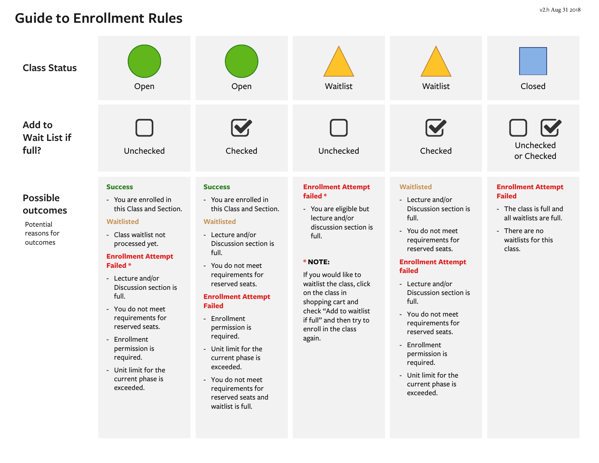## **Guide to Enrollment Rules**

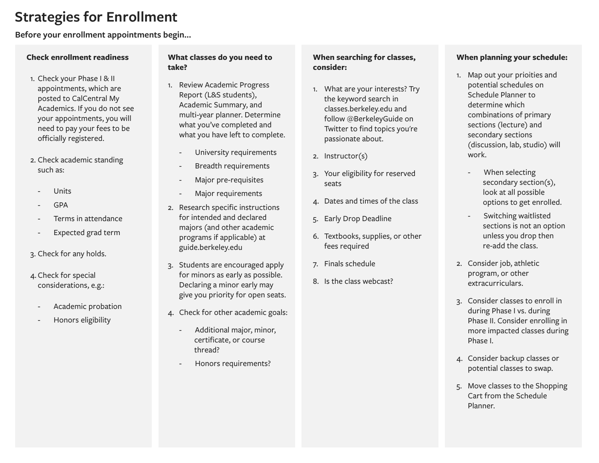### **Strategies for Enrollment**

**Before your enrollment appointments begin...**

#### **Check enrollment readiness**

- 1. Check your Phase I & II appointments, which are posted to CalCentral My Academics. If you do not see your appointments, you will need to pay your fees to be officially registered.
- 2. Check academic standing such as:
	- **Units**
	- GPA
	- Terms in attendance
	- Expected grad term
- 3. Check for any holds.
- 4. Check for special considerations, e.g.:
	- Academic probation
	- Honors eligibility

#### **What classes do you need to take?**

- 1. Review Academic Progress Report (L&S students), Academic Summary, and multi-year planner. Determine what you've completed and what you have left to complete.
	- University requirements
	- Breadth requirements
	- Major pre-requisites
	- Major requirements
- 2. Research specific instructions for intended and declared majors (and other academic programs if applicable) at guide.berkeley.edu
- 3. Students are encouraged apply for minors as early as possible. Declaring a minor early may give you priority for open seats.
- 4. Check for other academic goals:
	- Additional major, minor, certificate, or course thread?
	- Honors requirements?

#### **When searching for classes, consider:**

- 1. What are your interests? Try the keyword search in classes.berkeley.edu and follow @BerkeleyGuide on Twitter to find topics you're passionate about.
- 2. Instructor(s)
- 3. Your eligibility for reserved seats
- 4. Dates and times of the class
- 5. Early Drop Deadline
- 6. Textbooks, supplies, or other fees required
- 7. Finals schedule
- 8. Is the class webcast?

#### **When planning your schedule:**

- 1. Map out your prioities and potential schedules on Schedule Planner to determine which combinations of primary sections (lecture) and secondary sections (discussion, lab, studio) will work.
	- When selecting secondary section(s), look at all possible options to get enrolled.
	- Switching waitlisted sections is not an option unless you drop then re-add the class.
- 2. Consider job, athletic program, or other extracurriculars.
- 3. Consider classes to enroll in during Phase I vs. during Phase II. Consider enrolling in more impacted classes during Phase I.
- 4. Consider backup classes or potential classes to swap.
- 5. Move classes to the Shopping Cart from the Schedule Planner.